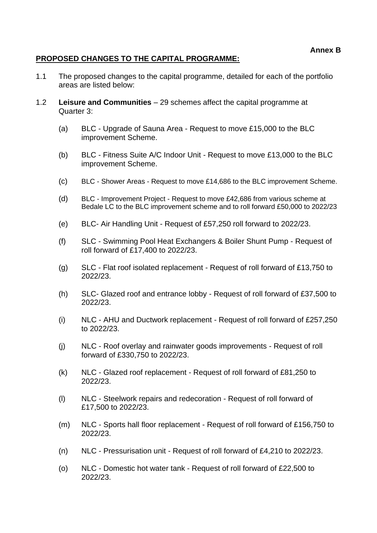## **Annex B**

## **PROPOSED CHANGES TO THE CAPITAL PROGRAMME:**

- 1.1 The proposed changes to the capital programme, detailed for each of the portfolio areas are listed below:
- 1.2 **Leisure and Communities** 29 schemes affect the capital programme at Quarter 3:
	- (a) BLC Upgrade of Sauna Area Request to move £15,000 to the BLC improvement Scheme.
	- (b) BLC Fitness Suite A/C Indoor Unit Request to move £13,000 to the BLC improvement Scheme.
	- (c) BLC Shower Areas Request to move £14,686 to the BLC improvement Scheme.
	- (d) BLC Improvement Project Request to move £42,686 from various scheme at Bedale LC to the BLC improvement scheme and to roll forward £50,000 to 2022/23
	- (e) BLC- Air Handling Unit Request of £57,250 roll forward to 2022/23.
	- (f) SLC Swimming Pool Heat Exchangers & Boiler Shunt Pump Request of roll forward of £17,400 to 2022/23.
	- (g) SLC Flat roof isolated replacement Request of roll forward of £13,750 to 2022/23.
	- (h) SLC- Glazed roof and entrance lobby Request of roll forward of £37,500 to 2022/23.
	- (i) NLC AHU and Ductwork replacement Request of roll forward of £257,250 to 2022/23.
	- (j) NLC Roof overlay and rainwater goods improvements Request of roll forward of £330,750 to 2022/23.
	- (k) NLC Glazed roof replacement Request of roll forward of £81,250 to 2022/23.
	- (l) NLC Steelwork repairs and redecoration Request of roll forward of £17,500 to 2022/23.
	- (m) NLC Sports hall floor replacement Request of roll forward of £156,750 to 2022/23.
	- (n) NLC Pressurisation unit Request of roll forward of £4,210 to 2022/23.
	- (o) NLC Domestic hot water tank Request of roll forward of £22,500 to 2022/23.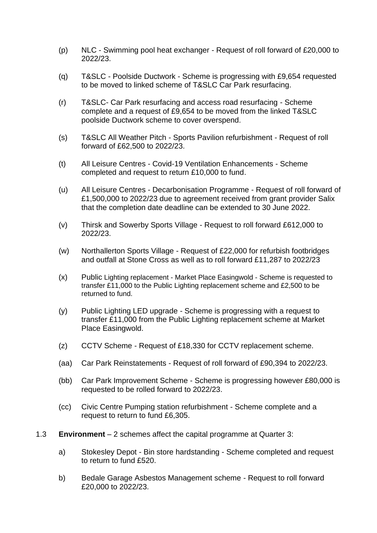- (p) NLC Swimming pool heat exchanger Request of roll forward of £20,000 to 2022/23.
- (q) T&SLC Poolside Ductwork Scheme is progressing with £9,654 requested to be moved to linked scheme of T&SLC Car Park resurfacing.
- (r) T&SLC- Car Park resurfacing and access road resurfacing Scheme complete and a request of £9,654 to be moved from the linked T&SLC poolside Ductwork scheme to cover overspend.
- (s) T&SLC All Weather Pitch Sports Pavilion refurbishment Request of roll forward of £62,500 to 2022/23.
- (t) All Leisure Centres Covid-19 Ventilation Enhancements Scheme completed and request to return £10,000 to fund.
- (u) All Leisure Centres Decarbonisation Programme Request of roll forward of £1,500,000 to 2022/23 due to agreement received from grant provider Salix that the completion date deadline can be extended to 30 June 2022.
- (v) Thirsk and Sowerby Sports Village Request to roll forward £612,000 to 2022/23.
- (w) Northallerton Sports Village Request of £22,000 for refurbish footbridges and outfall at Stone Cross as well as to roll forward £11,287 to 2022/23
- (x) Public Lighting replacement Market Place Easingwold Scheme is requested to transfer £11,000 to the Public Lighting replacement scheme and £2,500 to be returned to fund.
- (y) Public Lighting LED upgrade Scheme is progressing with a request to transfer £11,000 from the Public Lighting replacement scheme at Market Place Easingwold.
- (z) CCTV Scheme Request of £18,330 for CCTV replacement scheme.
- (aa) Car Park Reinstatements Request of roll forward of £90,394 to 2022/23.
- (bb) Car Park Improvement Scheme Scheme is progressing however £80,000 is requested to be rolled forward to 2022/23.
- (cc) Civic Centre Pumping station refurbishment Scheme complete and a request to return to fund £6,305.
- 1.3 **Environment** 2 schemes affect the capital programme at Quarter 3:
	- a) Stokesley Depot Bin store hardstanding Scheme completed and request to return to fund £520.
	- b) Bedale Garage Asbestos Management scheme Request to roll forward £20,000 to 2022/23.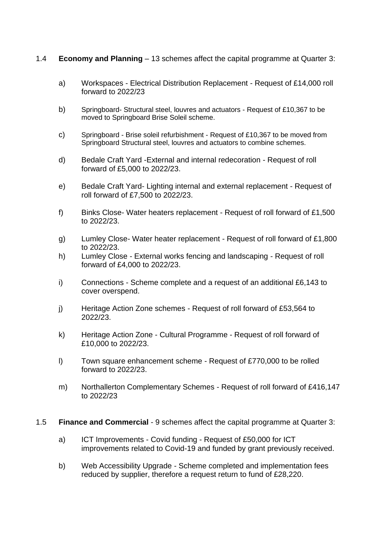## 1.4 **Economy and Planning** – 13 schemes affect the capital programme at Quarter 3:

- a) Workspaces Electrical Distribution Replacement Request of £14,000 roll forward to 2022/23
- b) Springboard- Structural steel, louvres and actuators Request of £10,367 to be moved to Springboard Brise Soleil scheme.
- c) Springboard Brise soleil refurbishment Request of £10,367 to be moved from Springboard Structural steel, louvres and actuators to combine schemes.
- d) Bedale Craft Yard -External and internal redecoration Request of roll forward of £5,000 to 2022/23.
- e) Bedale Craft Yard- Lighting internal and external replacement Request of roll forward of £7,500 to 2022/23.
- f) Binks Close- Water heaters replacement Request of roll forward of £1,500 to 2022/23.
- g) Lumley Close- Water heater replacement Request of roll forward of £1,800 to 2022/23.
- h) Lumley Close External works fencing and landscaping Request of roll forward of £4,000 to 2022/23.
- i) Connections Scheme complete and a request of an additional £6,143 to cover overspend.
- j) Heritage Action Zone schemes Request of roll forward of £53,564 to 2022/23.
- k) Heritage Action Zone Cultural Programme Request of roll forward of £10,000 to 2022/23.
- l) Town square enhancement scheme Request of £770,000 to be rolled forward to 2022/23.
- m) Northallerton Complementary Schemes Request of roll forward of £416,147 to 2022/23

## 1.5 **Finance and Commercial** - 9 schemes affect the capital programme at Quarter 3:

- a) ICT Improvements Covid funding Request of £50,000 for ICT improvements related to Covid-19 and funded by grant previously received.
- b) Web Accessibility Upgrade Scheme completed and implementation fees reduced by supplier, therefore a request return to fund of £28,220.